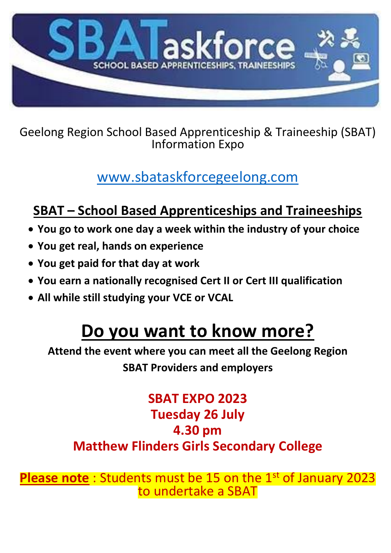

Geelong Region School Based Apprenticeship & Traineeship (SBAT) Information Expo

## [www.sbataskforcegeelong.com](http://www.sbataskforcegeelong.com/)

## **SBAT – School Based Apprenticeships and Traineeships**

- **You go to work one day a week within the industry of your choice**
- **You get real, hands on experience**
- **You get paid for that day at work**
- **You earn a nationally recognised Cert II or Cert III qualification**
- **All while still studying your VCE or VCAL**

# **Do you want to know more?**

**Attend the event where you can meet all the Geelong Region SBAT Providers and employers**

### **SBAT EXPO 2023 Tuesday 26 July 4.30 pm Matthew Flinders Girls Secondary College**

**Please note**: Students must be 15 on the 1<sup>st</sup> of January 2023 to undertake a SBAT